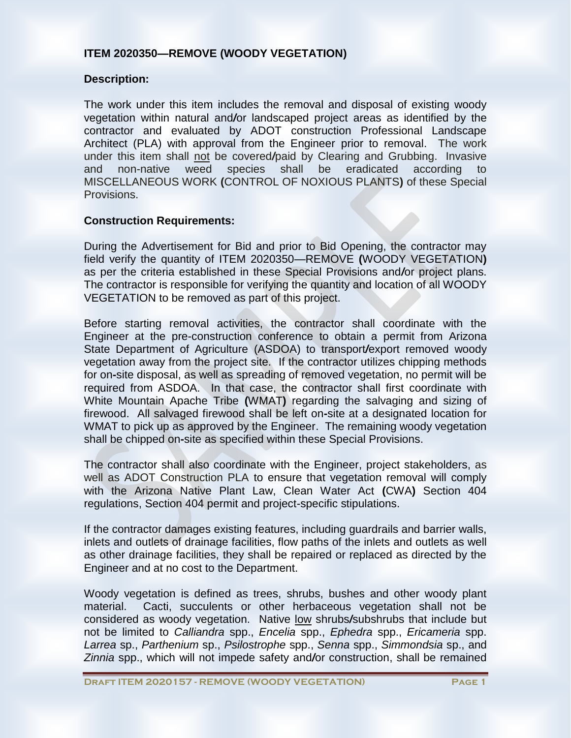# **ITEM 2020350—REMOVE (WOODY VEGETATION)**

### **Description:**

The work under this item includes the removal and disposal of existing woody vegetation within natural and*/*or landscaped project areas as identified by the contractor and evaluated by ADOT construction Professional Landscape Architect (PLA) with approval from the Engineer prior to removal. The work under this item shall not be covered*/*paid by Clearing and Grubbing. Invasive and non-native weed species shall be eradicated according to MISCELLANEOUS WORK **(**CONTROL OF NOXIOUS PLANTS**)** of these Special Provisions.

## **Construction Requirements:**

During the Advertisement for Bid and prior to Bid Opening, the contractor may field verify the quantity of ITEM 2020350—REMOVE **(**WOODY VEGETATION**)** as per the criteria established in these Special Provisions and*/*or project plans. The contractor is responsible for verifying the quantity and location of all WOODY VEGETATION to be removed as part of this project.

Before starting removal activities, the contractor shall coordinate with the Engineer at the pre-construction conference to obtain a permit from Arizona State Department of Agriculture (ASDOA) to transport*/*export removed woody vegetation away from the project site. If the contractor utilizes chipping methods for on**-**site disposal, as well as spreading of removed vegetation, no permit will be required from ASDOA. In that case, the contractor shall first coordinate with White Mountain Apache Tribe **(**WMAT**)** regarding the salvaging and sizing of firewood. All salvaged firewood shall be left on**-**site at a designated location for WMAT to pick up as approved by the Engineer. The remaining woody vegetation shall be chipped on**-**site as specified within these Special Provisions.

The contractor shall also coordinate with the Engineer, project stakeholders, as well as ADOT Construction PLA to ensure that vegetation removal will comply with the Arizona Native Plant Law, Clean Water Act **(**CWA**)** Section 404 regulations, Section 404 permit and project-specific stipulations.

If the contractor damages existing features, including guardrails and barrier walls, inlets and outlets of drainage facilities, flow paths of the inlets and outlets as well as other drainage facilities, they shall be repaired or replaced as directed by the Engineer and at no cost to the Department.

Woody vegetation is defined as trees, shrubs, bushes and other woody plant material. Cacti, succulents or other herbaceous vegetation shall not be considered as woody vegetation. Native low shrubs*/*subshrubs that include but not be limited to *Calliandra* spp., *Encelia* spp., *Ephedra* spp., *Ericameria* spp. *Larrea* sp., *Parthenium* sp., *Psilostrophe* spp., *Senna* spp., *Simmondsia* sp., and *Zinnia* spp., which will not impede safety and*/*or construction, shall be remained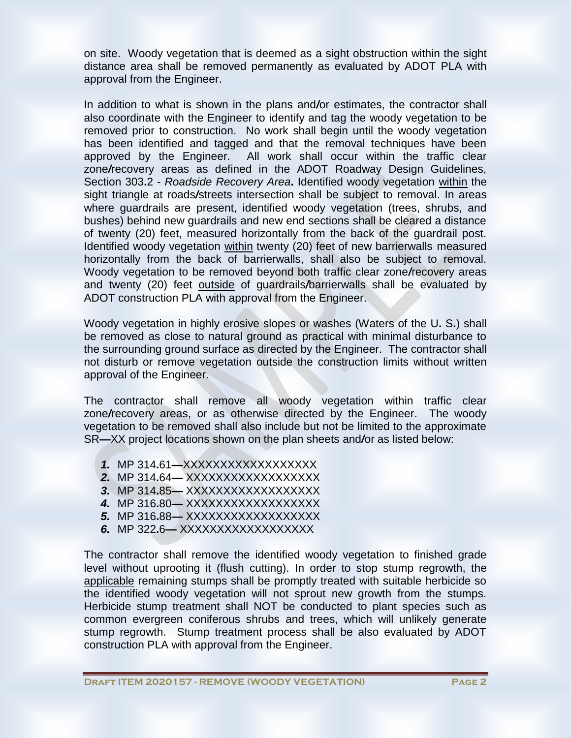on site. Woody vegetation that is deemed as a sight obstruction within the sight distance area shall be removed permanently as evaluated by ADOT PLA with approval from the Engineer.

In addition to what is shown in the plans and*/*or estimates, the contractor shall also coordinate with the Engineer to identify and tag the woody vegetation to be removed prior to construction. No work shall begin until the woody vegetation has been identified and tagged and that the removal techniques have been approved by the Engineer. All work shall occur within the traffic clear zone*/*recovery areas as defined in the ADOT Roadway Design Guidelines, Section 303**.**2 - *Roadside Recovery Area***.** Identified woody vegetation within the sight triangle at roads*/*streets intersection shall be subject to removal. In areas where guardrails are present, identified woody vegetation (trees, shrubs, and bushes) behind new guardrails and new end sections shall be cleared a distance of twenty (20) feet, measured horizontally from the back of the guardrail post. Identified woody vegetation within twenty (20) feet of new barrierwalls measured horizontally from the back of barrierwalls, shall also be subject to removal. Woody vegetation to be removed beyond both traffic clear zone*/*recovery areas and twenty (20) feet outside of guardrails*/*barrierwalls shall be evaluated by ADOT construction PLA with approval from the Engineer.

Woody vegetation in highly erosive slopes or washes (Waters of the U**.** S**.**) shall be removed as close to natural ground as practical with minimal disturbance to the surrounding ground surface as directed by the Engineer. The contractor shall not disturb or remove vegetation outside the construction limits without written approval of the Engineer.

The contractor shall remove all woody vegetation within traffic clear zone*/*recovery areas, or as otherwise directed by the Engineer. The woody vegetation to be removed shall also include but not be limited to the approximate SR**—**XX project locations shown on the plan sheets and*/*or as listed below:

- *1.* MP 314**.**61**—**XXXXXXXXXXXXXXXXXX
- *2.* MP 314**.**64**—** XXXXXXXXXXXXXXXXXX
- *3.* MP 314**.**85**—** XXXXXXXXXXXXXXXXXX
- *4.* MP 316**.**80**—** XXXXXXXXXXXXXXXXXX
- *5.* MP 316**.**88**—** XXXXXXXXXXXXXXXXXX
- *6.* MP 322**.**6**—** XXXXXXXXXXXXXXXXXX

The contractor shall remove the identified woody vegetation to finished grade level without uprooting it (flush cutting). In order to stop stump regrowth, the applicable remaining stumps shall be promptly treated with suitable herbicide so the identified woody vegetation will not sprout new growth from the stumps. Herbicide stump treatment shall NOT be conducted to plant species such as common evergreen coniferous shrubs and trees, which will unlikely generate stump regrowth. Stump treatment process shall be also evaluated by ADOT construction PLA with approval from the Engineer.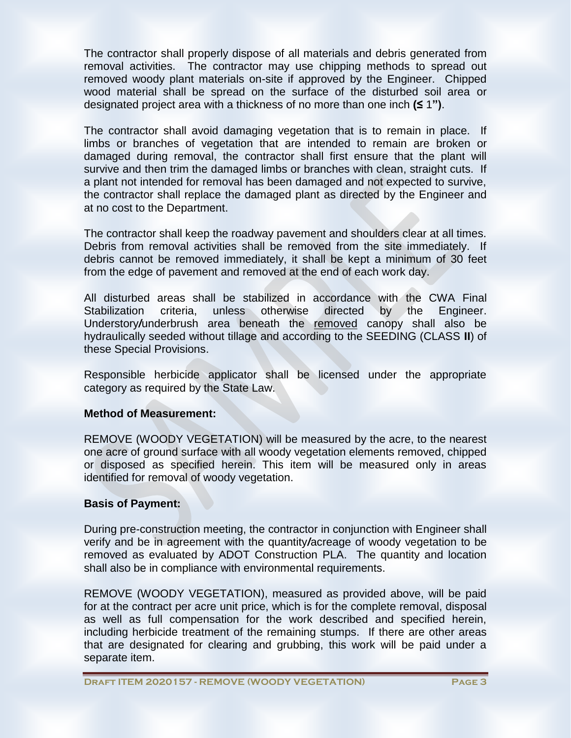The contractor shall properly dispose of all materials and debris generated from removal activities. The contractor may use chipping methods to spread out removed woody plant materials on-site if approved by the Engineer. Chipped wood material shall be spread on the surface of the disturbed soil area or designated project area with a thickness of no more than one inch **(≤** 1**")**.

The contractor shall avoid damaging vegetation that is to remain in place. If limbs or branches of vegetation that are intended to remain are broken or damaged during removal, the contractor shall first ensure that the plant will survive and then trim the damaged limbs or branches with clean, straight cuts. If a plant not intended for removal has been damaged and not expected to survive, the contractor shall replace the damaged plant as directed by the Engineer and at no cost to the Department.

The contractor shall keep the roadway pavement and shoulders clear at all times. Debris from removal activities shall be removed from the site immediately. If debris cannot be removed immediately, it shall be kept a minimum of 30 feet from the edge of pavement and removed at the end of each work day.

All disturbed areas shall be stabilized in accordance with the CWA Final Stabilization criteria, unless otherwise directed by the Engineer. Understory*/*underbrush area beneath the removed canopy shall also be hydraulically seeded without tillage and according to the SEEDING (CLASS **II**) of these Special Provisions.

Responsible herbicide applicator shall be licensed under the appropriate category as required by the State Law.

# **Method of Measurement:**

REMOVE (WOODY VEGETATION) will be measured by the acre, to the nearest one acre of ground surface with all woody vegetation elements removed, chipped or disposed as specified herein. This item will be measured only in areas identified for removal of woody vegetation.

# **Basis of Payment:**

During pre-construction meeting, the contractor in conjunction with Engineer shall verify and be in agreement with the quantity*/*acreage of woody vegetation to be removed as evaluated by ADOT Construction PLA. The quantity and location shall also be in compliance with environmental requirements.

REMOVE (WOODY VEGETATION), measured as provided above, will be paid for at the contract per acre unit price, which is for the complete removal, disposal as well as full compensation for the work described and specified herein, including herbicide treatment of the remaining stumps. If there are other areas that are designated for clearing and grubbing, this work will be paid under a separate item.